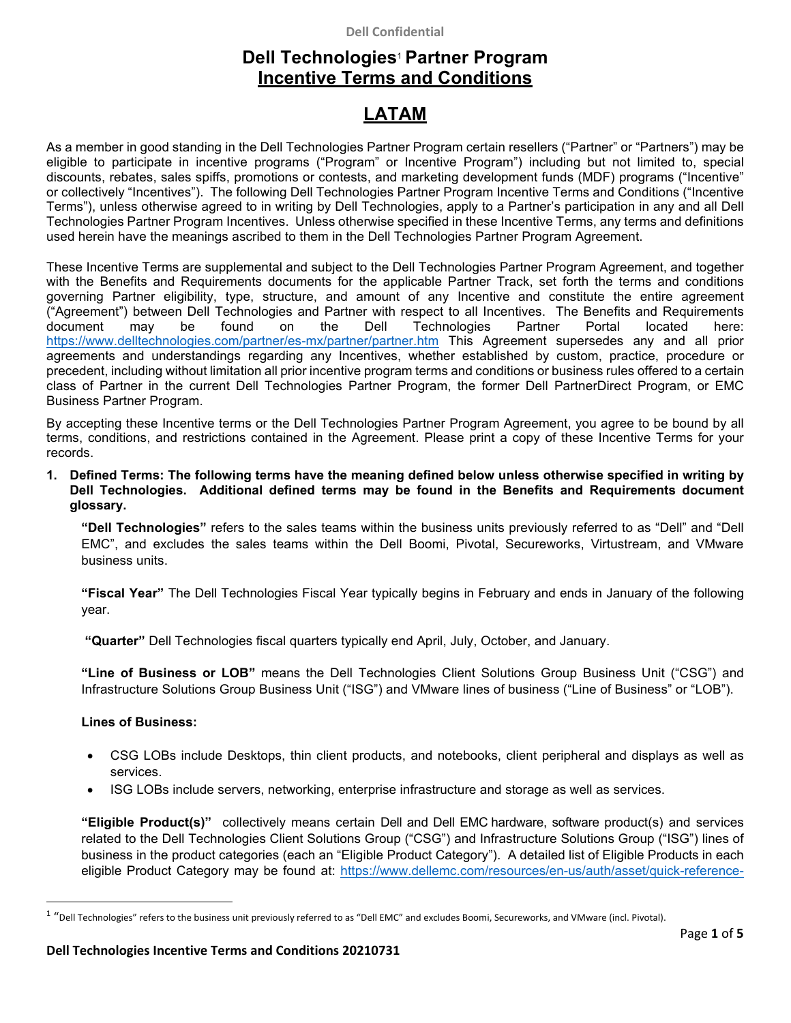## **Dell Confidential**

## **Dell Technologies**<sup>1</sup> **Partner Program Incentive Terms and Conditions**

# **LATAM**

As a member in good standing in the Dell Technologies Partner Program certain resellers ("Partner" or "Partners") may be eligible to participate in incentive programs ("Program" or Incentive Program") including but not limited to, special discounts, rebates, sales spiffs, promotions or contests, and marketing development funds (MDF) programs ("Incentive" or collectively "Incentives"). The following Dell Technologies Partner Program Incentive Terms and Conditions ("Incentive Terms"), unless otherwise agreed to in writing by Dell Technologies, apply to a Partner's participation in any and all Dell Technologies Partner Program Incentives. Unless otherwise specified in these Incentive Terms, any terms and definitions used herein have the meanings ascribed to them in the Dell Technologies Partner Program Agreement.

These Incentive Terms are supplemental and subject to the Dell Technologies Partner Program Agreement, and together with the Benefits and Requirements documents for the applicable Partner Track, set forth the terms and conditions governing Partner eligibility, type, structure, and amount of any Incentive and constitute the entire agreement ("Agreement") between Dell Technologies and Partner with respect to all Incentives. The Benefits and Requirements document may be found on the Dell Technologies Partner Portal located here: https://www.delltechnologies.com/partner/es-mx/partner/partner.htm This Agreement supersedes any and all prior agreements and understandings regarding any Incentives, whether established by custom, practice, procedure or precedent, including without limitation all prior incentive program terms and conditions or business rules offered to a certain class of Partner in the current Dell Technologies Partner Program, the former Dell PartnerDirect Program, or EMC Business Partner Program.

By accepting these Incentive terms or the Dell Technologies Partner Program Agreement, you agree to be bound by all terms, conditions, and restrictions contained in the Agreement. Please print a copy of these Incentive Terms for your records.

**1. Defined Terms: The following terms have the meaning defined below unless otherwise specified in writing by Dell Technologies. Additional defined terms may be found in the Benefits and Requirements document glossary.** 

**"Dell Technologies"** refers to the sales teams within the business units previously referred to as "Dell" and "Dell EMC", and excludes the sales teams within the Dell Boomi, Pivotal, Secureworks, Virtustream, and VMware business units.

**"Fiscal Year"** The Dell Technologies Fiscal Year typically begins in February and ends in January of the following year.

 **"Quarter"** Dell Technologies fiscal quarters typically end April, July, October, and January.

**"Line of Business or LOB"** means the Dell Technologies Client Solutions Group Business Unit ("CSG") and Infrastructure Solutions Group Business Unit ("ISG") and VMware lines of business ("Line of Business" or "LOB").

## **Lines of Business:**

- CSG LOBs include Desktops, thin client products, and notebooks, client peripheral and displays as well as services.
- ISG LOBs include servers, networking, enterprise infrastructure and storage as well as services.

**"Eligible Product(s)"** collectively means certain Dell and Dell EMC hardware, software product(s) and services related to the Dell Technologies Client Solutions Group ("CSG") and Infrastructure Solutions Group ("ISG") lines of business in the product categories (each an "Eligible Product Category"). A detailed list of Eligible Products in each eligible Product Category may be found at: https://www.dellemc.com/resources/en-us/auth/asset/quick-reference-

<sup>1</sup> "Dell Technologies" refers to the business unit previously referred to as "Dell EMC" and excludes Boomi, Secureworks, and VMware (incl. Pivotal).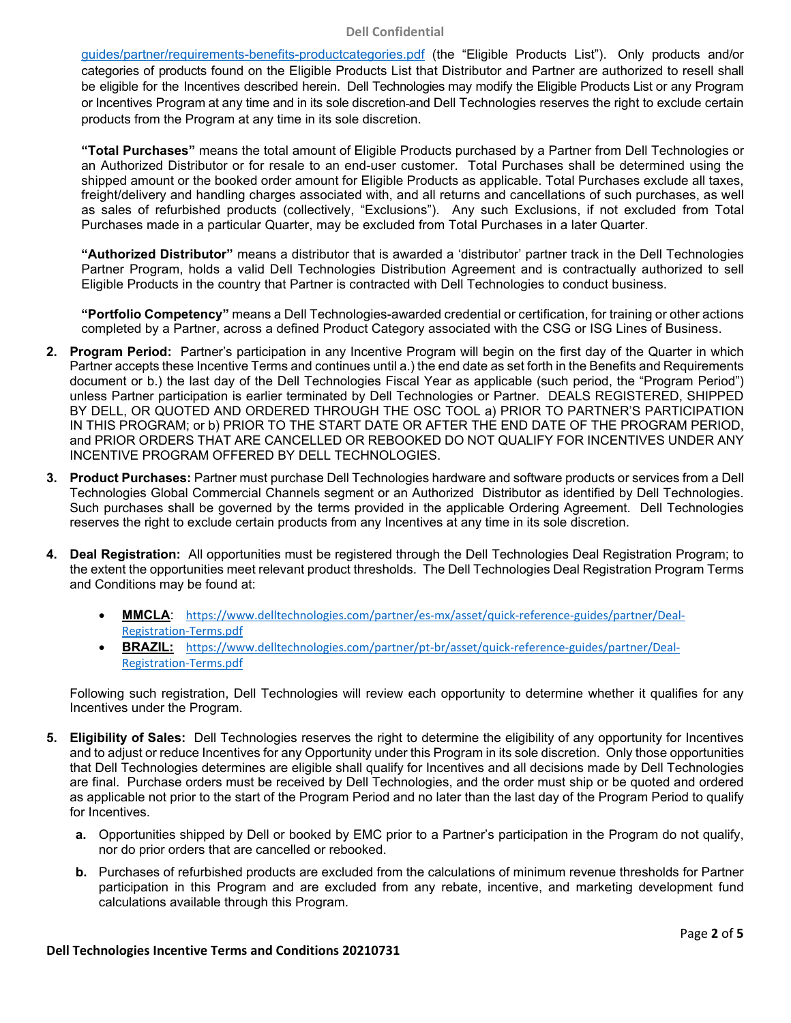### **Dell Confidential**

guides/partner/requirements-benefits-productcategories.pdf (the "Eligible Products List"). Only products and/or categories of products found on the Eligible Products List that Distributor and Partner are authorized to resell shall be eligible for the Incentives described herein. Dell Technologies may modify the Eligible Products List or any Program or Incentives Program at any time and in its sole discretion and Dell Technologies reserves the right to exclude certain products from the Program at any time in its sole discretion.

**"Total Purchases"** means the total amount of Eligible Products purchased by a Partner from Dell Technologies or an Authorized Distributor or for resale to an end-user customer. Total Purchases shall be determined using the shipped amount or the booked order amount for Eligible Products as applicable. Total Purchases exclude all taxes, freight/delivery and handling charges associated with, and all returns and cancellations of such purchases, as well as sales of refurbished products (collectively, "Exclusions"). Any such Exclusions, if not excluded from Total Purchases made in a particular Quarter, may be excluded from Total Purchases in a later Quarter.

**"Authorized Distributor"** means a distributor that is awarded a 'distributor' partner track in the Dell Technologies Partner Program, holds a valid Dell Technologies Distribution Agreement and is contractually authorized to sell Eligible Products in the country that Partner is contracted with Dell Technologies to conduct business.

**"Portfolio Competency"** means a Dell Technologies-awarded credential or certification, for training or other actions completed by a Partner, across a defined Product Category associated with the CSG or ISG Lines of Business.

- **2. Program Period:** Partner's participation in any Incentive Program will begin on the first day of the Quarter in which Partner accepts these Incentive Terms and continues until a.) the end date as set forth in the Benefits and Requirements document or b.) the last day of the Dell Technologies Fiscal Year as applicable (such period, the "Program Period") unless Partner participation is earlier terminated by Dell Technologies or Partner. DEALS REGISTERED, SHIPPED BY DELL, OR QUOTED AND ORDERED THROUGH THE OSC TOOL a) PRIOR TO PARTNER'S PARTICIPATION IN THIS PROGRAM; or b) PRIOR TO THE START DATE OR AFTER THE END DATE OF THE PROGRAM PERIOD, and PRIOR ORDERS THAT ARE CANCELLED OR REBOOKED DO NOT QUALIFY FOR INCENTIVES UNDER ANY INCENTIVE PROGRAM OFFERED BY DELL TECHNOLOGIES.
- **3. Product Purchases:** Partner must purchase Dell Technologies hardware and software products or services from a Dell Technologies Global Commercial Channels segment or an Authorized Distributor as identified by Dell Technologies. Such purchases shall be governed by the terms provided in the applicable Ordering Agreement. Dell Technologies reserves the right to exclude certain products from any Incentives at any time in its sole discretion.
- **4. Deal Registration:** All opportunities must be registered through the Dell Technologies Deal Registration Program; to the extent the opportunities meet relevant product thresholds. The Dell Technologies Deal Registration Program Terms and Conditions may be found at:
	- **MMCLA**: https://www.delltechnologies.com/partner/es‐mx/asset/quick‐reference‐guides/partner/Deal‐ Registration‐Terms.pdf
	- BRAZIL: https://www.delltechnologies.com/partner/pt-br/asset/quick-reference-guides/partner/Deal-Registration‐Terms.pdf

Following such registration, Dell Technologies will review each opportunity to determine whether it qualifies for any Incentives under the Program.

- **5. Eligibility of Sales:** Dell Technologies reserves the right to determine the eligibility of any opportunity for Incentives and to adjust or reduce Incentives for any Opportunity under this Program in its sole discretion. Only those opportunities that Dell Technologies determines are eligible shall qualify for Incentives and all decisions made by Dell Technologies are final. Purchase orders must be received by Dell Technologies, and the order must ship or be quoted and ordered as applicable not prior to the start of the Program Period and no later than the last day of the Program Period to qualify for Incentives.
	- **a.** Opportunities shipped by Dell or booked by EMC prior to a Partner's participation in the Program do not qualify, nor do prior orders that are cancelled or rebooked.
	- **b.** Purchases of refurbished products are excluded from the calculations of minimum revenue thresholds for Partner participation in this Program and are excluded from any rebate, incentive, and marketing development fund calculations available through this Program.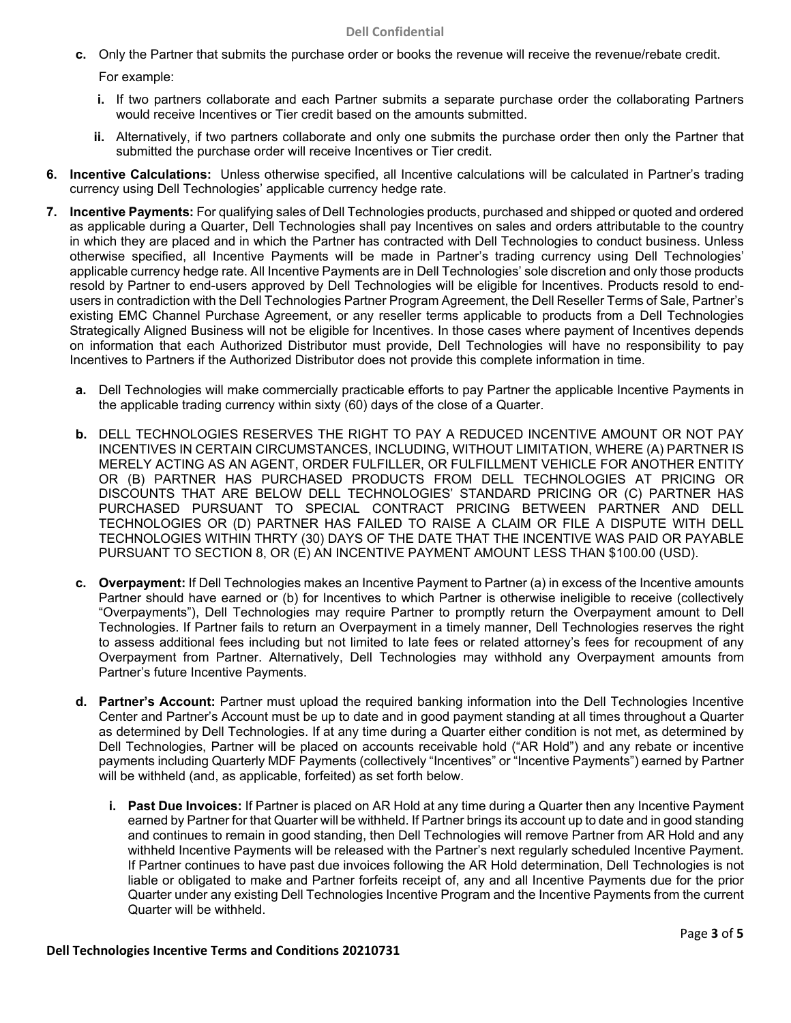#### **Dell Confidential**

- **c.** Only the Partner that submits the purchase order or books the revenue will receive the revenue/rebate credit. For example:
	- **i.** If two partners collaborate and each Partner submits a separate purchase order the collaborating Partners would receive Incentives or Tier credit based on the amounts submitted.
	- **ii.** Alternatively, if two partners collaborate and only one submits the purchase order then only the Partner that submitted the purchase order will receive Incentives or Tier credit.
- **6. Incentive Calculations:** Unless otherwise specified, all Incentive calculations will be calculated in Partner's trading currency using Dell Technologies' applicable currency hedge rate.
- **7. Incentive Payments:** For qualifying sales of Dell Technologies products, purchased and shipped or quoted and ordered as applicable during a Quarter, Dell Technologies shall pay Incentives on sales and orders attributable to the country in which they are placed and in which the Partner has contracted with Dell Technologies to conduct business. Unless otherwise specified, all Incentive Payments will be made in Partner's trading currency using Dell Technologies' applicable currency hedge rate. All Incentive Payments are in Dell Technologies' sole discretion and only those products resold by Partner to end-users approved by Dell Technologies will be eligible for Incentives. Products resold to endusers in contradiction with the Dell Technologies Partner Program Agreement, the Dell Reseller Terms of Sale, Partner's existing EMC Channel Purchase Agreement, or any reseller terms applicable to products from a Dell Technologies Strategically Aligned Business will not be eligible for Incentives. In those cases where payment of Incentives depends on information that each Authorized Distributor must provide, Dell Technologies will have no responsibility to pay Incentives to Partners if the Authorized Distributor does not provide this complete information in time.
	- **a.** Dell Technologies will make commercially practicable efforts to pay Partner the applicable Incentive Payments in the applicable trading currency within sixty (60) days of the close of a Quarter.
	- **b.** DELL TECHNOLOGIES RESERVES THE RIGHT TO PAY A REDUCED INCENTIVE AMOUNT OR NOT PAY INCENTIVES IN CERTAIN CIRCUMSTANCES, INCLUDING, WITHOUT LIMITATION, WHERE (A) PARTNER IS MERELY ACTING AS AN AGENT, ORDER FULFILLER, OR FULFILLMENT VEHICLE FOR ANOTHER ENTITY OR (B) PARTNER HAS PURCHASED PRODUCTS FROM DELL TECHNOLOGIES AT PRICING OR DISCOUNTS THAT ARE BELOW DELL TECHNOLOGIES' STANDARD PRICING OR (C) PARTNER HAS PURCHASED PURSUANT TO SPECIAL CONTRACT PRICING BETWEEN PARTNER AND DELL TECHNOLOGIES OR (D) PARTNER HAS FAILED TO RAISE A CLAIM OR FILE A DISPUTE WITH DELL TECHNOLOGIES WITHIN THRTY (30) DAYS OF THE DATE THAT THE INCENTIVE WAS PAID OR PAYABLE PURSUANT TO SECTION 8, OR (E) AN INCENTIVE PAYMENT AMOUNT LESS THAN \$100.00 (USD).
	- **c. Overpayment:** If Dell Technologies makes an Incentive Payment to Partner (a) in excess of the Incentive amounts Partner should have earned or (b) for Incentives to which Partner is otherwise ineligible to receive (collectively "Overpayments"), Dell Technologies may require Partner to promptly return the Overpayment amount to Dell Technologies. If Partner fails to return an Overpayment in a timely manner, Dell Technologies reserves the right to assess additional fees including but not limited to late fees or related attorney's fees for recoupment of any Overpayment from Partner. Alternatively, Dell Technologies may withhold any Overpayment amounts from Partner's future Incentive Payments.
	- **d. Partner's Account:** Partner must upload the required banking information into the Dell Technologies Incentive Center and Partner's Account must be up to date and in good payment standing at all times throughout a Quarter as determined by Dell Technologies. If at any time during a Quarter either condition is not met, as determined by Dell Technologies, Partner will be placed on accounts receivable hold ("AR Hold") and any rebate or incentive payments including Quarterly MDF Payments (collectively "Incentives" or "Incentive Payments") earned by Partner will be withheld (and, as applicable, forfeited) as set forth below.
		- **i. Past Due Invoices:** If Partner is placed on AR Hold at any time during a Quarter then any Incentive Payment earned by Partner for that Quarter will be withheld. If Partner brings its account up to date and in good standing and continues to remain in good standing, then Dell Technologies will remove Partner from AR Hold and any withheld Incentive Payments will be released with the Partner's next regularly scheduled Incentive Payment. If Partner continues to have past due invoices following the AR Hold determination, Dell Technologies is not liable or obligated to make and Partner forfeits receipt of, any and all Incentive Payments due for the prior Quarter under any existing Dell Technologies Incentive Program and the Incentive Payments from the current Quarter will be withheld.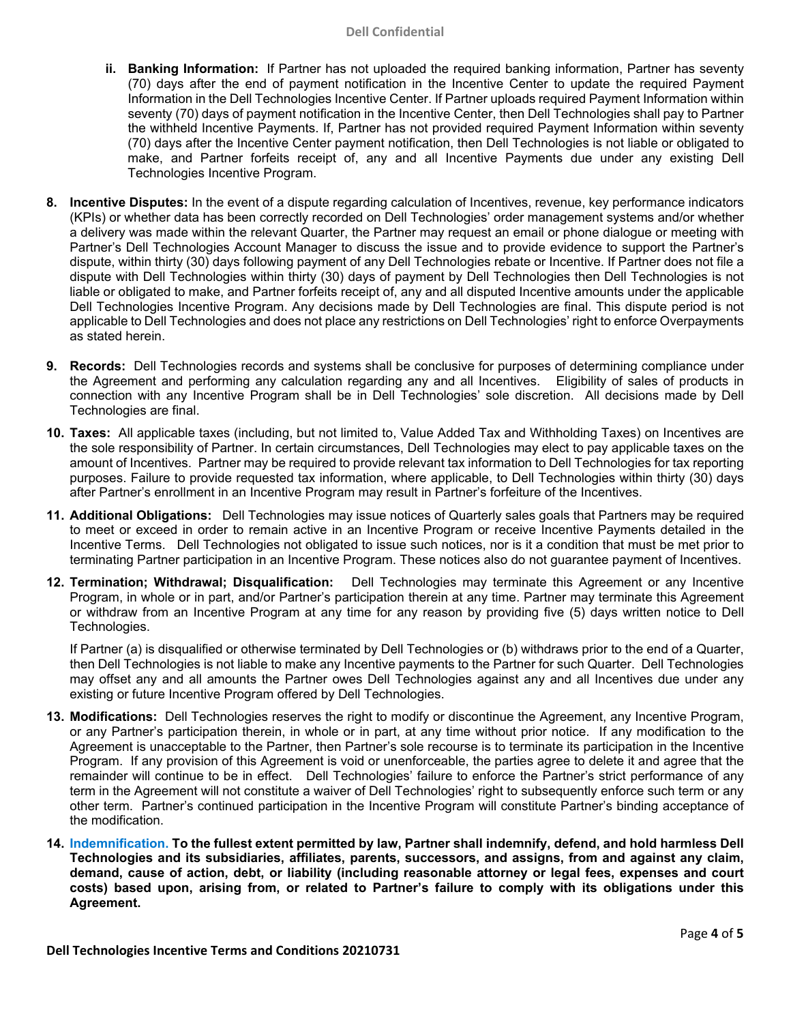- **ii. Banking Information:** If Partner has not uploaded the required banking information, Partner has seventy (70) days after the end of payment notification in the Incentive Center to update the required Payment Information in the Dell Technologies Incentive Center. If Partner uploads required Payment Information within seventy (70) days of payment notification in the Incentive Center, then Dell Technologies shall pay to Partner the withheld Incentive Payments. If, Partner has not provided required Payment Information within seventy (70) days after the Incentive Center payment notification, then Dell Technologies is not liable or obligated to make, and Partner forfeits receipt of, any and all Incentive Payments due under any existing Dell Technologies Incentive Program.
- **8. Incentive Disputes:** In the event of a dispute regarding calculation of Incentives, revenue, key performance indicators (KPIs) or whether data has been correctly recorded on Dell Technologies' order management systems and/or whether a delivery was made within the relevant Quarter, the Partner may request an email or phone dialogue or meeting with Partner's Dell Technologies Account Manager to discuss the issue and to provide evidence to support the Partner's dispute, within thirty (30) days following payment of any Dell Technologies rebate or Incentive. If Partner does not file a dispute with Dell Technologies within thirty (30) days of payment by Dell Technologies then Dell Technologies is not liable or obligated to make, and Partner forfeits receipt of, any and all disputed Incentive amounts under the applicable Dell Technologies Incentive Program. Any decisions made by Dell Technologies are final. This dispute period is not applicable to Dell Technologies and does not place any restrictions on Dell Technologies' right to enforce Overpayments as stated herein.
- **9. Records:** Dell Technologies records and systems shall be conclusive for purposes of determining compliance under the Agreement and performing any calculation regarding any and all Incentives. Eligibility of sales of products in connection with any Incentive Program shall be in Dell Technologies' sole discretion. All decisions made by Dell Technologies are final.
- **10. Taxes:** All applicable taxes (including, but not limited to, Value Added Tax and Withholding Taxes) on Incentives are the sole responsibility of Partner. In certain circumstances, Dell Technologies may elect to pay applicable taxes on the amount of Incentives. Partner may be required to provide relevant tax information to Dell Technologies for tax reporting purposes. Failure to provide requested tax information, where applicable, to Dell Technologies within thirty (30) days after Partner's enrollment in an Incentive Program may result in Partner's forfeiture of the Incentives.
- **11. Additional Obligations:** Dell Technologies may issue notices of Quarterly sales goals that Partners may be required to meet or exceed in order to remain active in an Incentive Program or receive Incentive Payments detailed in the Incentive Terms. Dell Technologies not obligated to issue such notices, nor is it a condition that must be met prior to terminating Partner participation in an Incentive Program. These notices also do not guarantee payment of Incentives.
- **12. Termination; Withdrawal; Disqualification:** Dell Technologies may terminate this Agreement or any Incentive Program, in whole or in part, and/or Partner's participation therein at any time. Partner may terminate this Agreement or withdraw from an Incentive Program at any time for any reason by providing five (5) days written notice to Dell Technologies.

If Partner (a) is disqualified or otherwise terminated by Dell Technologies or (b) withdraws prior to the end of a Quarter, then Dell Technologies is not liable to make any Incentive payments to the Partner for such Quarter. Dell Technologies may offset any and all amounts the Partner owes Dell Technologies against any and all Incentives due under any existing or future Incentive Program offered by Dell Technologies.

- **13. Modifications:** Dell Technologies reserves the right to modify or discontinue the Agreement, any Incentive Program, or any Partner's participation therein, in whole or in part, at any time without prior notice. If any modification to the Agreement is unacceptable to the Partner, then Partner's sole recourse is to terminate its participation in the Incentive Program. If any provision of this Agreement is void or unenforceable, the parties agree to delete it and agree that the remainder will continue to be in effect. Dell Technologies' failure to enforce the Partner's strict performance of any term in the Agreement will not constitute a waiver of Dell Technologies' right to subsequently enforce such term or any other term. Partner's continued participation in the Incentive Program will constitute Partner's binding acceptance of the modification.
- **14. Indemnification. To the fullest extent permitted by law, Partner shall indemnify, defend, and hold harmless Dell Technologies and its subsidiaries, affiliates, parents, successors, and assigns, from and against any claim, demand, cause of action, debt, or liability (including reasonable attorney or legal fees, expenses and court costs) based upon, arising from, or related to Partner's failure to comply with its obligations under this Agreement.**